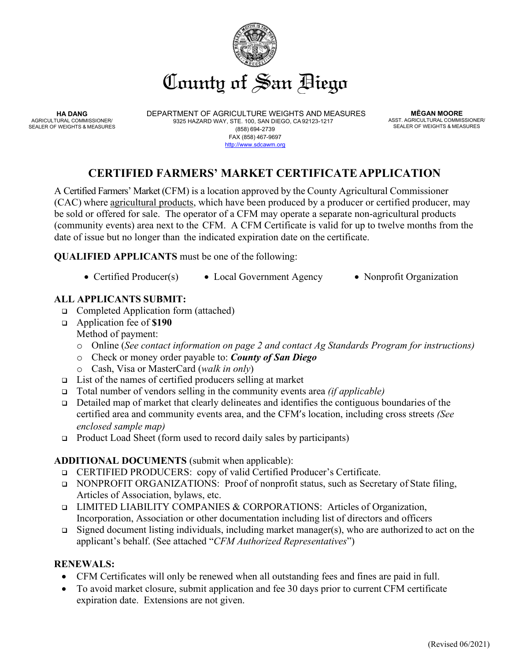

**HA DANG** AGRICULTURAL COMMISSIONER/ SEALER OF WEIGHTS & MEASURES DEPARTMENT OF AGRICULTURE WEIGHTS AND MEASURES 9325 HAZARD WAY, STE. 100, SAN DIEGO, CA92123-1217 (858) 694-2739 FAX (858) 467-9697 [http://www.sdcawm.org](http://www.sdcawm.org/)

**MĒGAN MOORE** ASST. AGRICULTURAL COMMISSIONER/ SEALER OF WEIGHTS & MEASURES

# **CERTIFIED FARMERS' MARKET CERTIFICATE APPLICATION**

A Certified Farmers' Market (CFM) is a location approved by the County Agricultural Commissioner (CAC) where agricultural products, which have been produced by a producer or certified producer, may be sold or offered for sale. The operator of a CFM may operate a separate non-agricultural products (community events) area next to the CFM. A CFM Certificate is valid for up to twelve months from the date of issue but no longer than the indicated expiration date on the certificate.

**QUALIFIED APPLICANTS** must be one of the following:

• Certified Producer(s) • Local Government Agency • Nonprofit Organization

# **ALL APPLICANTS SUBMIT:**

- □ Completed Application form (attached)
- Application fee of **\$190** Method of payment:
	- o Online (*See contact information on page 2 and contact Ag Standards Program for instructions)*
	- o Check or money order payable to: *County of San Diego*
	- o Cash, Visa or MasterCard (*walk in only*)
- $\Box$  List of the names of certified producers selling at market
- Total number of vendors selling in the community events area *(if applicable)*
- Detailed map of market that clearly delineates and identifies the contiguous boundaries of the certified area and community events area, and the CFM's location, including cross streets *(See enclosed sample map)*
- Product Load Sheet (form used to record daily sales by participants)

# **ADDITIONAL DOCUMENTS** (submit when applicable):

- CERTIFIED PRODUCERS: copy of valid Certified Producer's Certificate.
- NONPROFIT ORGANIZATIONS: Proof of nonprofit status, such as Secretary of State filing, Articles of Association, bylaws, etc.
- **LIMITED LIABILITY COMPANIES & CORPORATIONS:** Articles of Organization, Incorporation, Association or other documentation including list of directors and officers
- $\Box$  Signed document listing individuals, including market manager(s), who are authorized to act on the applicant's behalf. (See attached "*CFM Authorized Representatives*")

### **RENEWALS:**

- CFM Certificates will only be renewed when all outstanding fees and fines are paid in full.
- To avoid market closure, submit application and fee 30 days prior to current CFM certificate expiration date. Extensions are not given.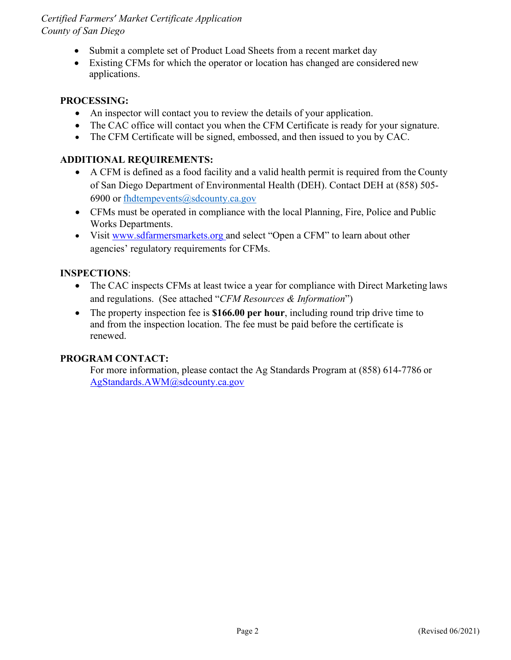### *Certified Farmers' Market Certificate Application County of San Diego*

- Submit a complete set of Product Load Sheets from a recent market day
- Existing CFMs for which the operator or location has changed are considered new applications.

### **PROCESSING:**

- An inspector will contact you to review the details of your application.
- The CAC office will contact you when the CFM Certificate is ready for your signature.
- The CFM Certificate will be signed, embossed, and then issued to you by CAC.

### **ADDITIONAL REQUIREMENTS:**

- A CFM is defined as a food facility and a valid health permit is required from the County of San Diego Department of Environmental Health (DEH). Contact DEH at (858) 505- 6900 or [fhdtempevents@sdcounty.ca.gov](mailto:fhdtempevents@sdcounty.ca.gov)
- CFMs must be operated in compliance with the local Planning, Fire, Police and Public Works Departments.
- Visit [www.sdfarmersmarkets.org a](http://www.sdfarmersmarkets.org/)nd select "Open a CFM" to learn about other agencies' regulatory requirements for CFMs.

### **INSPECTIONS**:

- The CAC inspects CFMs at least twice a year for compliance with Direct Marketing laws and regulations. (See attached "*CFM Resources & Information*")
- The property inspection fee is **\$166.00 per hour**, including round trip drive time to and from the inspection location. The fee must be paid before the certificate is renewed.

### **PROGRAM CONTACT:**

For more information, please contact the Ag Standards Program at (858) 614-7786 or [AgStandards.AWM@sdcounty.ca.gov](mailto:AgStandards.AWM@sdcounty.ca.gov)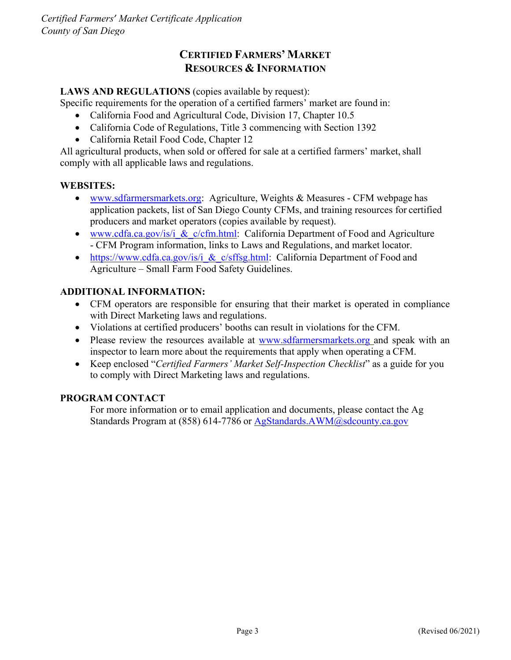# **CERTIFIED FARMERS' MARKET RESOURCES & INFORMATION**

### LAWS AND REGULATIONS (copies available by request):

Specific requirements for the operation of a certified farmers' market are found in:

- California Food and Agricultural Code, Division 17, Chapter 10.5
- California Code of Regulations, Title 3 commencing with Section 1392
- California Retail Food Code, Chapter 12

All agricultural products, when sold or offered for sale at a certified farmers' market, shall comply with all applicable laws and regulations.

### **WEBSITES:**

- [www.sdfarmersmarkets.org:](http://www.sdfarmersmarkets.org/) Agriculture, Weights & Measures CFM webpage has application packets, list of San Diego County CFMs, and training resources for certified producers and market operators (copies available by request).
- www.cdfa.ca.gov/is/i & c/cfm.html: California Department of Food and Agriculture - CFM Program information, links to Laws and Regulations, and market locator.
- https://www.cdfa.ca.gov/is/i & c/sffsg.html: California Department of Food and Agriculture – Small Farm Food Safety Guidelines.

### **ADDITIONAL INFORMATION:**

- CFM operators are responsible for ensuring that their market is operated in compliance with Direct Marketing laws and regulations.
- Violations at certified producers' booths can result in violations for the CFM.
- Please review the resources available at [www.sdfarmersmarkets.org](http://www.sdfarmersmarkets.org/) and speak with an inspector to learn more about the requirements that apply when operating a CFM.
- Keep enclosed "*Certified Farmers' Market Self-Inspection Checklist*" as a guide for you to comply with Direct Marketing laws and regulations.

### **PROGRAM CONTACT**

For more information or to email application and documents, please contact the Ag Standards Program at (858) 614-7786 or [AgStandards.AWM@sdcounty.ca.gov](mailto:AgStandards.AWM@sdcounty.ca.gov)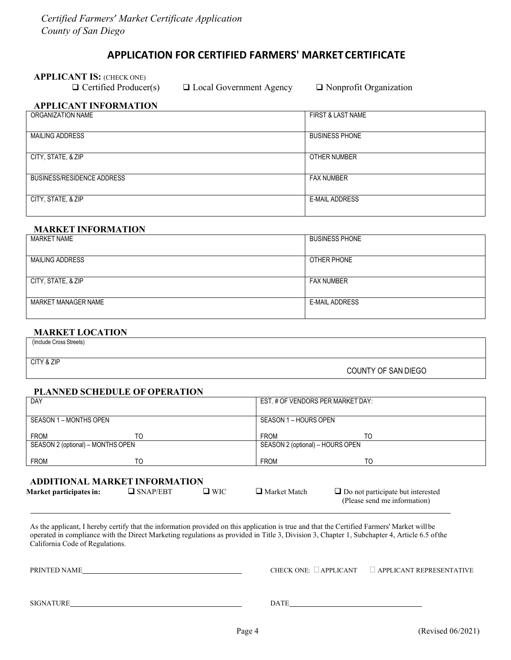### **APPLICATION FOR CERTIFIED FARMERS' MARKETCERTIFICATE**

**APPLICANT IS:** (CHECK ONE)<br>  $\Box$  Certified Producer(s)

 $\Box$  Local Government Agency  $\Box$  Nonprofit Organization

### **APPLICANT INFORMATION**

| ORGANIZATION NAME          | <b>FIRST &amp; LAST NAME</b> |
|----------------------------|------------------------------|
| <b>MAILING ADDRESS</b>     | <b>BUSINESS PHONE</b>        |
| CITY, STATE, & ZIP         | OTHER NUMBER                 |
| BUSINESS/RESIDENCE ADDRESS | <b>FAX NUMBER</b>            |
| CITY, STATE, & ZIP         | E-MAIL ADDRESS               |

### **MARKET INFORMATION**

| <b>MARKET NAME</b>     | <b>BUSINESS PHONE</b> |
|------------------------|-----------------------|
|                        |                       |
| <b>MAILING ADDRESS</b> | OTHER PHONE           |
|                        |                       |
| CITY, STATE, & ZIP     | <b>FAX NUMBER</b>     |
|                        |                       |
| MARKET MANAGER NAME    | <b>E-MAIL ADDRESS</b> |
|                        |                       |

### **MARKET LOCATION**

(Include Cross Streets)

CITY & ZIP

COUNTY OF SAN DIEGO

### **PLANNED SCHEDULE OF OPERATION**

| DAY                               |    | EST. # OF VENDORS PER MARKET DAY: |    |  |
|-----------------------------------|----|-----------------------------------|----|--|
| SEASON 1 – MONTHS OPEN            |    | SEASON 1 - HOURS OPEN             |    |  |
| <b>FROM</b>                       | TO | <b>FROM</b>                       | TΟ |  |
| SEASON 2 (optional) – MONTHS OPEN |    | SEASON 2 (optional) – HOURS OPEN  |    |  |
| <b>FROM</b>                       | TO | <b>FROM</b>                       | TO |  |

### **ADDITIONAL MARKET INFORMATION**

| <b>Market participates in:</b> | $\Box$ SNAP/EBT | ∃ WIC | $\Box$ Market Match | $\Box$ Do not participate but interested |
|--------------------------------|-----------------|-------|---------------------|------------------------------------------|
|                                |                 |       |                     | (Please send me information)             |

As the applicant, I hereby certify that the information provided on this application is true and that the Certified Farmers' Market willbe operated in compliance with the Direct Marketing regulations as provided in Title 3, Division 3, Chapter 1, Subchapter 4, Article 6.5 ofthe California Code of Regulations.

PRINTED NAME PRINTED NAME

SIGNATURE DATE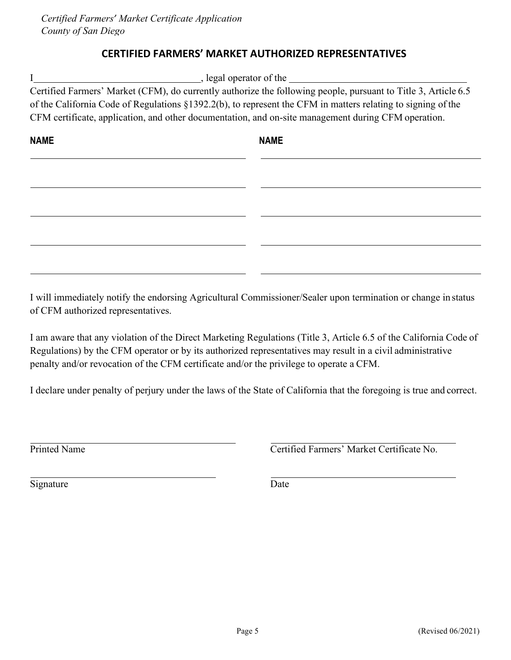# **CERTIFIED FARMERS' MARKET AUTHORIZED REPRESENTATIVES**

| , legal operator of the |                                                                                                                |  |  |  |
|-------------------------|----------------------------------------------------------------------------------------------------------------|--|--|--|
|                         | Certified Farmers' Market (CFM), do currently authorize the following people, pursuant to Title 3, Article 6.5 |  |  |  |
|                         | of the California Code of Regulations §1392.2(b), to represent the CFM in matters relating to signing of the   |  |  |  |
|                         | CFM certificate, application, and other documentation, and on-site management during CFM operation.            |  |  |  |
| <b>NAME</b>             | <b>NAME</b>                                                                                                    |  |  |  |
|                         |                                                                                                                |  |  |  |
|                         |                                                                                                                |  |  |  |
|                         |                                                                                                                |  |  |  |
|                         |                                                                                                                |  |  |  |
|                         |                                                                                                                |  |  |  |

I will immediately notify the endorsing Agricultural Commissioner/Sealer upon termination or change in status of CFM authorized representatives.

I am aware that any violation of the Direct Marketing Regulations (Title 3, Article 6.5 of the California Code of Regulations) by the CFM operator or by its authorized representatives may result in a civil administrative penalty and/or revocation of the CFM certificate and/or the privilege to operate a CFM.

I declare under penalty of perjury under the laws of the State of California that the foregoing is true and correct.

Printed Name Certified Farmers' Market Certificate No.

Signature Date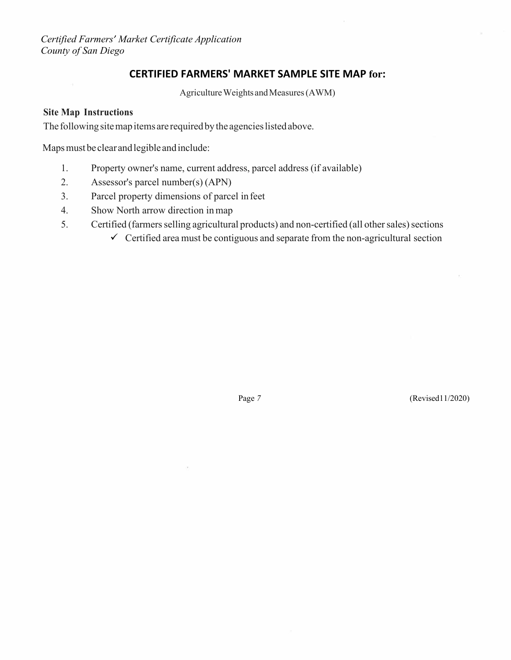*Certified Farmers' Market Certificate Application County of San Diego*

### **CERTIFIED FARMERS' MARKET SAMPLE SITE MAP for:**

Agriculture Weights and Measures (AWM)

### **Site Map Instructions**

The following site map items are required by the agencies listed above.

Maps must be clear and legible and include:

- 1. Property owner's name, current address, parcel address (if available)
- 2. Assessor's parcel number(s) (APN)
- 3. Parcel property dimensions of parcel infeet
- 4. Show North arrow direction inmap
- 5. Certified (farmers selling agricultural products) and non-certified (all other sales) sections
	- $\checkmark$  Certified area must be contiguous and separate from the non-agricultural section

Page 7 (Revised11/2020)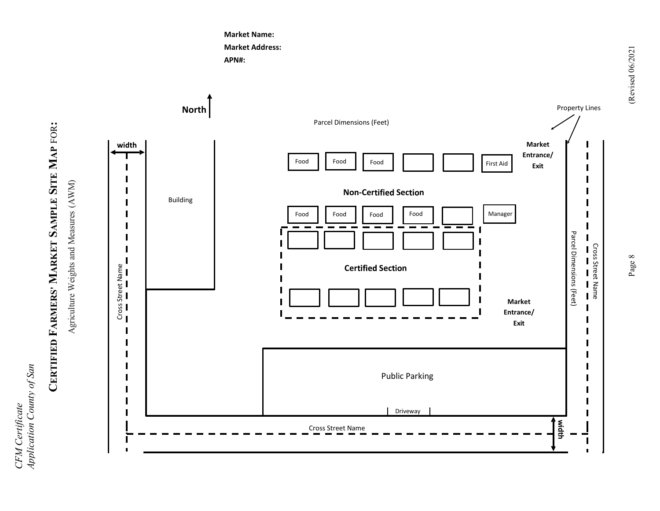*Application County of San*  Application County of San CFM Certificate *CFM Certificate* 

# CERTIFIED FARMERS' MARKET SAMPLE SITE MAP FOR: **CERTIFIED FARMERS' MARKET SAMPLE SITE MAP** FOR**:**

Agriculture Weights and Measures (AWM) Agriculture Weights and Measures (AWM)



**Market Name: Market Address:** 

**APN#:**